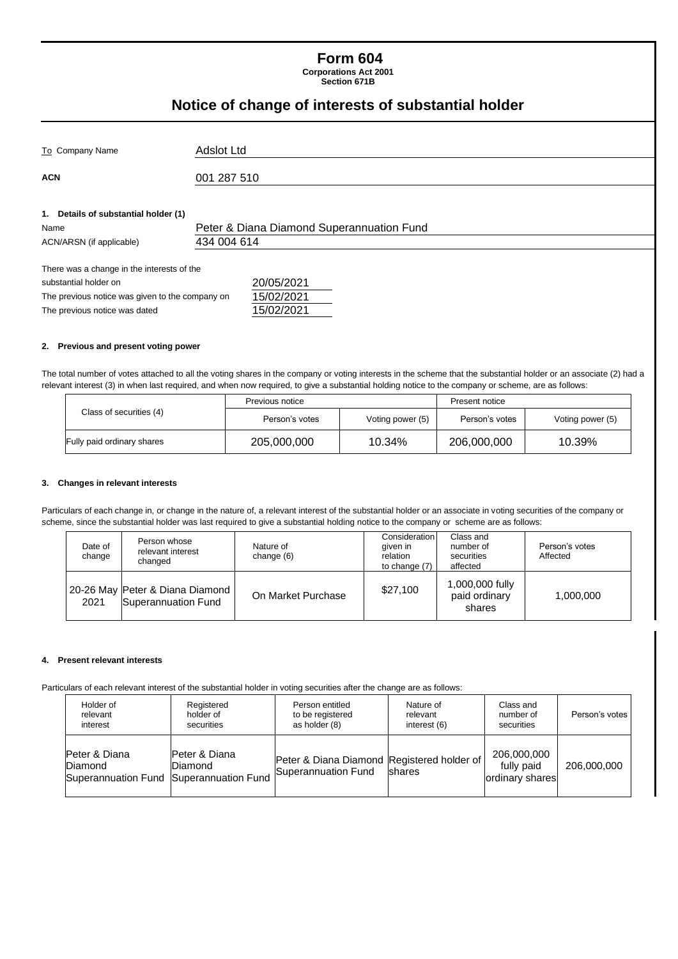### **Form 604 Corporations Act 2001**

**Section 671B**

# **Notice of change of interests of substantial holder**

| To Company Name                                                                                                                                         | Adslot Ltd                                               |  |
|---------------------------------------------------------------------------------------------------------------------------------------------------------|----------------------------------------------------------|--|
| <b>ACN</b>                                                                                                                                              | 001 287 510                                              |  |
| 1. Details of substantial holder (1)<br>Name<br>ACN/ARSN (if applicable)                                                                                | Peter & Diana Diamond Superannuation Fund<br>434 004 614 |  |
| There was a change in the interests of the<br>substantial holder on<br>The previous notice was given to the company on<br>The previous notice was dated | 20/05/2021<br>15/02/2021<br>15/02/2021                   |  |

### **2. Previous and present voting power**

The total number of votes attached to all the voting shares in the company or voting interests in the scheme that the substantial holder or an associate (2) had a relevant interest (3) in when last required, and when now required, to give a substantial holding notice to the company or scheme, are as follows:

|                            | Previous notice |                  | Present notice |                  |
|----------------------------|-----------------|------------------|----------------|------------------|
| Class of securities (4)    | Person's votes  | Voting power (5) | Person's votes | Voting power (5) |
| Fully paid ordinary shares | 205,000,000     | 10.34%           | 206,000,000    | 10.39%           |

#### **3. Changes in relevant interests**

Particulars of each change in, or change in the nature of, a relevant interest of the substantial holder or an associate in voting securities of the company or scheme, since the substantial holder was last required to give a substantial holding notice to the company or scheme are as follows:

| Date of<br>change | Person whose<br>relevant interest<br>changed             | Nature of<br>change (6) | Consideration<br>aiven in<br>relation<br>to change (7) | Class and<br>number of<br>securities<br>affected | Person's votes<br>Affected |
|-------------------|----------------------------------------------------------|-------------------------|--------------------------------------------------------|--------------------------------------------------|----------------------------|
| 2021              | 20-26 May Peter & Diana Diamond  <br>Superannuation Fund | On Market Purchase      | \$27,100                                               | 1,000,000 fully<br>paid ordinary<br>shares       | 1,000,000                  |

#### **4. Present relevant interests**

Particulars of each relevant interest of the substantial holder in voting securities after the change are as follows:

| Holder of                                                           | Registered                       | Person entitled                                                   | Nature of      | Class and                                    | Person's votes |
|---------------------------------------------------------------------|----------------------------------|-------------------------------------------------------------------|----------------|----------------------------------------------|----------------|
| relevant                                                            | holder of                        | to be registered                                                  | relevant       | number of                                    |                |
| interest                                                            | securities                       | as holder (8)                                                     | interest (6)   | securities                                   |                |
| Peter & Diana<br>Diamond<br>Superannuation Fund Superannuation Fund | Peter & Diana<br><b>IDiamond</b> | Peter & Diana Diamond Registered holder of<br>Superannuation Fund | <b>Ishares</b> | 206,000,000<br>fully paid<br>ordinary shares | 206,000,000    |